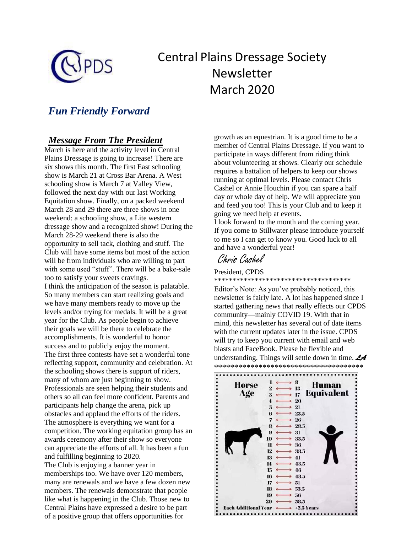

# Central Plains Dressage Society Newsletter March 2020

## *Fun Friendly Forward*

## *Message From The President*

March is here and the activity level in Central Plains Dressage is going to increase! There are six shows this month. The first East schooling show is March 21 at Cross Bar Arena. A West schooling show is March 7 at Valley View, followed the next day with our last Working Equitation show. Finally, on a packed weekend March 28 and 29 there are three shows in one weekend: a schooling show, a Lite western dressage show and a recognized show! During the March 28-29 weekend there is also the opportunity to sell tack, clothing and stuff. The Club will have some items but most of the action will be from individuals who are willing to part with some used "stuff". There will be a bake-sale too to satisfy your sweets cravings. I think the anticipation of the season is palatable. So many members can start realizing goals and we have many members ready to move up the levels and/or trying for medals. It will be a great year for the Club. As people begin to achieve their goals we will be there to celebrate the accomplishments. It is wonderful to honor success and to publicly enjoy the moment. The first three contests have set a wonderful tone reflecting support, community and celebration. At the schooling shows there is support of riders, many of whom are just beginning to show. Professionals are seen helping their students and others so all can feel more confident. Parents and participants help change the arena, pick up obstacles and applaud the efforts of the riders. The atmosphere is everything we want for a competition. The working equitation group has an awards ceremony after their show so everyone can appreciate the efforts of all. It has been a fun and fulfilling beginning to 2020. The Club is enjoying a banner year in memberships too. We have over 120 members, many are renewals and we have a few dozen new members. The renewals demonstrate that people like what is happening in the Club. Those new to Central Plains have expressed a desire to be part of a positive group that offers opportunities for

growth as an equestrian. It is a good time to be a member of Central Plains Dressage. If you want to participate in ways different from riding think about volunteering at shows. Clearly our schedule requires a battalion of helpers to keep our shows running at optimal levels. Please contact Chris Cashel or Annie Houchin if you can spare a half day or whole day of help. We will appreciate you and feed you too! This is your Club and to keep it going we need help at events.

I look forward to the month and the coming year. If you come to Stillwater please introduce yourself to me so I can get to know you. Good luck to all and have a wonderful year!

## Chris Cashel

President, CPDS

\*\*\*\*\*\*\*\*\*\*\*\*\*\*\*\*\*\*\*\*\*\*\*\*\*\*\*\*\*\*\*\*\*\*\*\*\*

Editor's Note: As you've probably noticed, this newsletter is fairly late. A lot has happened since I started gathering news that really effects our CPDS community—mainly COVID 19. With that in mind, this newsletter has several out of date items with the current updates later in the issue. CPDS will try to keep you current with email and web blasts and FaceBook. Please be flexible and understanding. Things will settle down in time. *LA* 

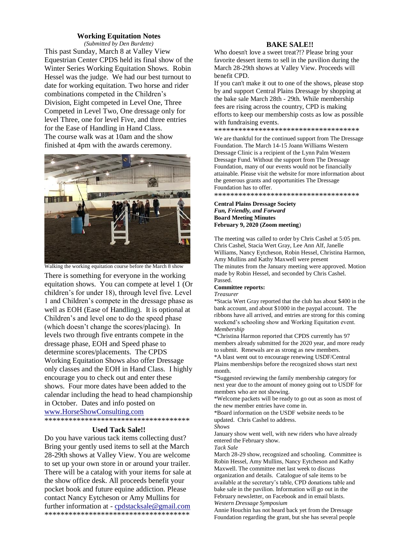#### **Working Equitation Notes**

*(Submitted by Den Burdette)* This past Sunday, March 8 at Valley View Equestrian Center CPDS held its final show of the Winter Series Working Equitation Shows. Robin Hessel was the judge. We had our best turnout to date for working equitation. Two horse and rider combinations competed in the Children's Division, Eight competed in Level One, Three Competed in Level Two, One dressage only for level Three, one for level Five, and three entries for the Ease of Handling in Hand Class. The course walk was at 10am and the show finished at 4pm with the awards ceremony.



Walking the working equitation course before the March 8 show

There is something for everyone in the working equitation shows. You can compete at level 1 (Or children's for under 18), through level five. Level 1 and Children's compete in the dressage phase as well as EOH (Ease of Handling). It is optional at Children's and level one to do the speed phase (which doesn't change the scores/placing). In levels two through five entrants compete in the dressage phase, EOH and Speed phase to determine scores/placements. The CPDS Working Equitation Shows also offer Dressage only classes and the EOH in Hand Class. I highly encourage you to check out and enter these shows. Four more dates have been added to the calendar including the head to head championship in October. Dates and info posted on [www.HorseShowConsulting.com](http://www.horseshowconsulting.com/)

\*\*\*\*\*\*\*\*\*\*\*\*\*\*\*\*\*\*\*\*\*\*\*\*\*\*\*\*\*\*\*\*\*\*\*\*

#### **Used Tack Sale!!**

Do you have various tack items collecting dust? Bring your gently used items to sell at the March 28-29th shows at Valley View. You are welcome to set up your own store in or around your trailer. There will be a catalog with your items for sale at the show office desk. All proceeds benefit your pocket book and future equine addiction. Please contact Nancy Eytcheson or Amy Mullins for further information at - [cpdstacksale@gmail.com](mailto:cpdstacksale@gmail.com) \*\*\*\*\*\*\*\*\*\*\*\*\*\*\*\*\*\*\*\*\*\*\*\*\*\*\*\*\*\*\*\*\*\*\*\*

#### **BAKE SALE!!**

Who doesn't love a sweet treat?!? Please bring your favorite dessert items to sell in the pavilion during the March 28-29th shows at Valley View. Proceeds will benefit CPD.

If you can't make it out to one of the shows, please stop by and support Central Plains Dressage by shopping at the bake sale March 28th - 29th. While membership fees are rising across the country, CPD is making efforts to keep our membership costs as low as possible with fundraising events.

\*\*\*\*\*\*\*\*\*\*\*\*\*\*\*\*\*\*\*\*\*\*\*\*\*\*\*\*\*\*\*\*\*\*\*\*

We are thankful for the continued support from The Dressage Foundation. The March 14-15 Joann Williams Western Dressage Clinic is a recipient of the Lynn Palm Western Dressage Fund. Without the support from The Dressage Foundation, many of our events would not be financially attainable. Please visit the website for more information about the generous grants and opportunities The Dressage Foundation has to offer.

\*\*\*\*\*\*\*\*\*\*\*\*\*\*\*\*\*\*\*\*\*\*\*\*\*\*\*\*\*\*\*\*\*\*\*\*

#### **Central Plains Dressage Society** *Fun, Friendly, and Forward* **Board Meeting Minutes February 9, 2020 (Zoom meeting**)

The meeting was called to order by Chris Cashel at 5:05 pm. Chris Cashel, Stacia Wert Gray, Lee Ann Alf, Janelle Williams, Nancy Eytcheson, Robin Hessel, Christina Harmon, Amy Mullins and Kathy Maxwell were present The minutes from the January meeting were approved. Motion made by Robin Hessel, and seconded by Chris Cashel. Passed.

### **Committee reports:**

#### *Treasurer*

\*Stacia Wert Gray reported that the club has about \$400 in the bank account, and about \$1000 in the paypal account. The ribbons have all arrived, and entries are strong for this coming weekend's schooling show and Working Equitation event. *Membership*

\*Christina Harmon reported that CPDS currently has 97 members already submitted for the 2020 year, and more ready to submit. Renewals are as strong as new members.

\*A blast went out to encourage renewing USDF/Central Plains memberships before the recognized shows start next month.

\*Suggested reviewing the family membership category for next year due to the amount of money going out to USDF for members who are not showing.

\*Welcome packets will be ready to go out as soon as most of the new member entries have come in.

\*Board information on the USDF website needs to be updated. Chris Cashel to address.

*Shows*

January show went well, with new riders who have already entered the February show.

*Tack Sale*

March 28-29 show, recognized and schooling. Committee is Robin Hessel, Amy Mullins, Nancy Eytcheson and Kathy Maxwell. The committee met last week to discuss organization and details. Catalogue of sale items to be available at the secretary's table, CPD donations table and bake sale in the pavilion. Information will go out in the February newsletter, on Facebook and in email blasts. *Western Dressage Symposium*

Annie Houchin has not heard back yet from the Dressage Foundation regarding the grant, but she has several people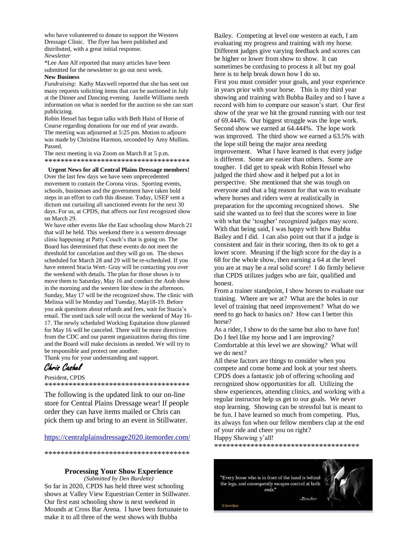who have volunteered to donate to support the Western Dressage Clinic. The flyer has been published and distributed, with a great initial response. *Newsletter*

\*Lee Ann Alf reported that many articles have been submitted for the newsletter to go out next week.

#### **New Business**

*Fundraising*: Kathy Maxwell reported that she has sent out many requests soliciting items that can be auctioned in July at the Dinner and Dancing evening. Janelle Williams needs information on what is needed for the auction so she can start publicizing.

Robin Hessel has begun talks with Beth Haist of Horse of Course regarding donations for our end of year awards. The meeting was adjourned at 5:25 pm. Motion to adjourn was made by Christina Harmon, seconded by Amy Mullins. Passed.

The next meeting is via Zoom on March 8 at 5 p.m. \*\*\*\*\*\*\*\*\*\*\*\*\*\*\*\*\*\*\*\*\*\*\*\*\*\*\*\*\*\*\*\*\*\*\*\*

#### **Urgent News for all Central Plains Dressage members!**

Over the last few days we have seen unprecedented movement to contain the Corona virus. Sporting events, schools, businesses and the government have taken bold steps in an effort to curb this disease. Today, USEF sent a dictum out curtailing all sanctioned events for the next 30 days. For us, at CPDS, that affects our first recognized show on March 29.

We have other events like the East schooling show March 21 that will be held. This weekend there is a western dressage clinic happening at Patty Couch's that is going on. The Board has determined that these events do not meet the threshold for cancelation and they will go on. The shows scheduled for March 28 and 29 will be re-scheduled. If you have entered Stacia Wert- Gray will be contacting you over the weekend with details. The plan for those shows is to move them to Saturday, May 16 and conduct the Arab show in the morning and the western lite show in the afternoon. Sunday, May 17 will be the recognized show. The clinic with Melissa will be Monday and Tuesday, May18-19. Before you ask questions about refunds and fees, wait for Stacia's email. The used tack sale will occur the weekend of May 16- 17. The newly scheduled Working Equitation show planned for May 16 will be canceled. There will be more directives from the CDC and our parent organizations during this time and the Board will make decisions as needed. We will try to be responsible and protect one another.

Thank you for your understanding and support.

## Chris Cashel

President, CPDS \*\*\*\*\*\*\*\*\*\*\*\*\*\*\*\*\*\*\*\*\*\*\*\*\*\*\*\*\*\*\*\*\*\*\*\*

The following is the updated link to our on-line store for Central Plains Dressage wear! If people order they can have items mailed or Chris can pick them up and bring to an event in Stillwater.

[https://centralplainsdressage2020.itemorder.com/](https://nam04.safelinks.protection.outlook.com/?url=https%3A%2F%2Fcentralplainsdressage2020.itemorder.com%2F&data=02%7C01%7Cchris.cashel%40okstate.edu%7C410e9bd6e3b04471762908d7af049d52%7C2a69c91de8494e34a230cdf8b27e1964%7C0%7C0%7C637170306661470478&sdata=0FG4q3RDHwfznMkugD%2FarjLSFgnCqOiFvdIDzaAxj4g%3D&reserved=0)

\*\*\*\*\*\*\*\*\*\*\*\*\*\*\*\*\*\*\*\*\*\*\*\*\*\*\*\*\*\*\*\*\*\*\*\*

#### **Processing Your Show Experience**

*(Submitted by Den Burdette)* So far in 2020, CPDS has held three west schooling shows at Valley View Equestrian Center in Stillwater. Our first east schooling show is next weekend in Mounds at Cross Bar Arena. I have been fortunate to make it to all three of the west shows with Bubba

Bailey. Competing at level one western at each, I am evaluating my progress and training with my horse. Different judges give varying feedback and scores can be higher or lower from show to show. It can sometimes be confusing to process it all but my goal here is to help break down how I do so. First you must consider your goals, and your experience in years prior with your horse. This is my third year showing and training with Bubba Bailey and so I have a record with him to compare our season's start. Our first show of the year we hit the ground running with our test of 69.444%. Our biggest struggle was the lope work. Second show we earned at 64.444%. The lope work was improved. The third show we earned a 63.5% with the lope still being the major area needing improvement. What I have learned is that every judge is different. Some are easier than others. Some are tougher. I did get to speak with Robin Hessel who judged the third show and it helped put a lot in perspective. She mentioned that she was tough on everyone and that a big reason for that was to evaluate where horses and riders were at realistically in preparation for the upcoming recognized shows. She said she wanted us to feel that the scores were in line with what the 'tougher' recognized judges may score. With that being said, I was happy with how Bubba Bailey and I did. I can also point out that if a judge is consistent and fair in their scoring, then its ok to get a lower score. Meaning if the high score for the day is a 68 for the whole show, then earning a 64 at the level you are at may be a real solid score! I do firmly believe that CPDS utilizes judges who are fair, qualified and honest.

From a trainer standpoint, I show horses to evaluate our training. Where are we at? What are the holes in our level of training that need improvement? What do we need to go back to basics on? How can I better this horse?

As a rider, I show to do the same but also to have fun! Do I feel like my horse and I are improving? Comfortable at this level we are showing? What will we do next?

All these factors are things to consider when you compete and come home and look at your test sheets. CPDS does a fantastic job of offering schooling and recognized show opportunities for all. Utilizing the show experiences, attending clinics, and working with a regular instructor help us get to our goals. We never stop learning. Showing can be stressful but is meant to be fun. I have learned so much from competing. Plus, its always fun when our fellow members clap at the end of your ride and cheer you on right? Happy Showing y'all!

\*\*\*\*\*\*\*\*\*\*\*\*\*\*\*\*\*\*\*\*\*\*\*\*\*\*\*\*\*\*\*\*\*\*\*\*

 $-Ba$ ucher

"Every horse who is in front of the hand is behind the legs, and consequently escapes control at both ends."



24 Carrot Ouote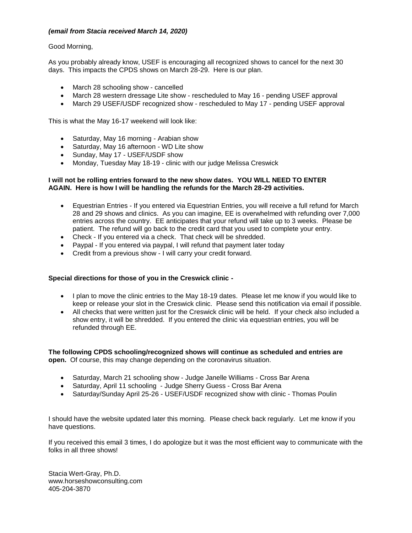#### *(email from Stacia received March 14, 2020)*

#### Good Morning,

As you probably already know, USEF is encouraging all recognized shows to cancel for the next 30 days. This impacts the CPDS shows on March 28-29. Here is our plan.

- March 28 schooling show cancelled
- March 28 western dressage Lite show rescheduled to May 16 pending USEF approval
- March 29 USEF/USDF recognized show rescheduled to May 17 pending USEF approval

This is what the May 16-17 weekend will look like:

- Saturday, May 16 morning Arabian show
- Saturday, May 16 afternoon WD Lite show
- Sunday, May 17 USEF/USDF show
- Monday, Tuesday May 18-19 clinic with our judge Melissa Creswick

#### **I will not be rolling entries forward to the new show dates. YOU WILL NEED TO ENTER AGAIN. Here is how I will be handling the refunds for the March 28-29 activities.**

- Equestrian Entries If you entered via Equestrian Entries, you will receive a full refund for March 28 and 29 shows and clinics. As you can imagine, EE is overwhelmed with refunding over 7,000 entries across the country. EE anticipates that your refund will take up to 3 weeks. Please be patient. The refund will go back to the credit card that you used to complete your entry.
- Check If you entered via a check. That check will be shredded.
- Paypal If you entered via paypal, I will refund that payment later today
- Credit from a previous show I will carry your credit forward.

#### **Special directions for those of you in the Creswick clinic -**

- I plan to move the clinic entries to the May 18-19 dates. Please let me know if you would like to keep or release your slot in the Creswick clinic. Please send this notification via email if possible.
- All checks that were written just for the Creswick clinic will be held. If your check also included a show entry, it will be shredded. If you entered the clinic via equestrian entries, you will be refunded through EE.

**The following CPDS schooling/recognized shows will continue as scheduled and entries are open.** Of course, this may change depending on the coronavirus situation.

- Saturday, March 21 schooling show Judge Janelle Williams Cross Bar Arena
- Saturday, April 11 schooling Judge Sherry Guess Cross Bar Arena
- Saturday/Sunday April 25-26 USEF/USDF recognized show with clinic Thomas Poulin

I should have the website updated later this morning. Please check back regularly. Let me know if you have questions.

If you received this email 3 times, I do apologize but it was the most efficient way to communicate with the folks in all three shows!

Stacia Wert-Gray, Ph.D. www.horseshowconsulting.com 405-204-3870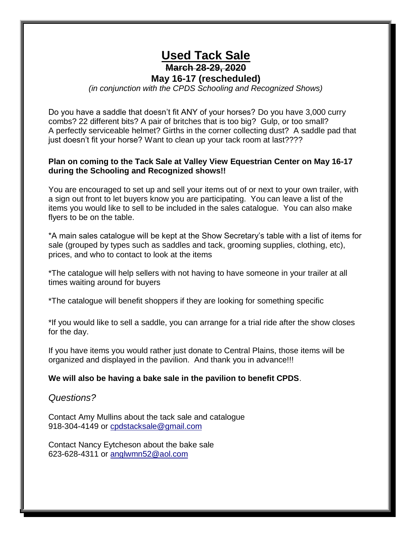## **Used Tack Sale March 28-29, 2020 May 16-17 (rescheduled)**

*(in conjunction with the CPDS Schooling and Recognized Shows)*

Do you have a saddle that doesn't fit ANY of your horses? Do you have 3,000 curry combs? 22 different bits? A pair of britches that is too big? Gulp, or too small? A perfectly serviceable helmet? Girths in the corner collecting dust? A saddle pad that just doesn't fit your horse? Want to clean up your tack room at last????

## **Plan on coming to the Tack Sale at Valley View Equestrian Center on May 16-17 during the Schooling and Recognized shows!!**

You are encouraged to set up and sell your items out of or next to your own trailer, with a sign out front to let buyers know you are participating. You can leave a list of the items you would like to sell to be included in the sales catalogue. You can also make flyers to be on the table.

\*A main sales catalogue will be kept at the Show Secretary's table with a list of items for sale (grouped by types such as saddles and tack, grooming supplies, clothing, etc), prices, and who to contact to look at the items

\*The catalogue will help sellers with not having to have someone in your trailer at all times waiting around for buyers

\*The catalogue will benefit shoppers if they are looking for something specific

\*If you would like to sell a saddle, you can arrange for a trial ride after the show closes for the day.

If you have items you would rather just donate to Central Plains, those items will be organized and displayed in the pavilion. And thank you in advance!!!

### **We will also be having a bake sale in the pavilion to benefit CPDS**.

### *Questions?*

Contact Amy Mullins about the tack sale and catalogue 918-304-4149 or [cpdstacksale@gmail.com](mailto:cpdstacksale@gmail.com)

Contact Nancy Eytcheson about the bake sale 623-628-4311 or [anglwmn52@aol.com](mailto:anglwmn52@aol.com)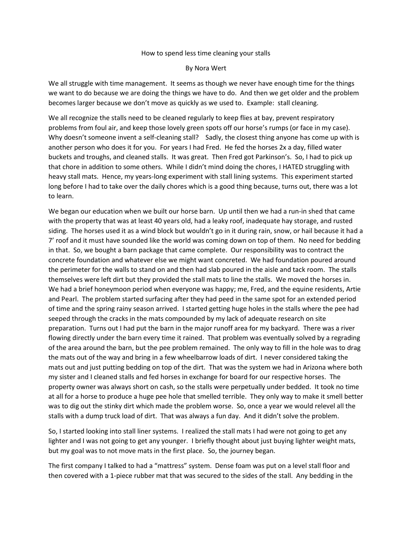#### How to spend less time cleaning your stalls

#### By Nora Wert

We all struggle with time management. It seems as though we never have enough time for the things we want to do because we are doing the things we have to do. And then we get older and the problem becomes larger because we don't move as quickly as we used to. Example: stall cleaning.

We all recognize the stalls need to be cleaned regularly to keep flies at bay, prevent respiratory problems from foul air, and keep those lovely green spots off our horse's rumps (or face in my case). Why doesn't someone invent a self-cleaning stall? Sadly, the closest thing anyone has come up with is another person who does it for you. For years I had Fred. He fed the horses 2x a day, filled water buckets and troughs, and cleaned stalls. It was great. Then Fred got Parkinson's. So, I had to pick up that chore in addition to some others. While I didn't mind doing the chores, I HATED struggling with heavy stall mats. Hence, my years-long experiment with stall lining systems. This experiment started long before I had to take over the daily chores which is a good thing because, turns out, there was a lot to learn.

We began our education when we built our horse barn. Up until then we had a run-in shed that came with the property that was at least 40 years old, had a leaky roof, inadequate hay storage, and rusted siding. The horses used it as a wind block but wouldn't go in it during rain, snow, or hail because it had a 7' roof and it must have sounded like the world was coming down on top of them. No need for bedding in that. So, we bought a barn package that came complete. Our responsibility was to contract the concrete foundation and whatever else we might want concreted. We had foundation poured around the perimeter for the walls to stand on and then had slab poured in the aisle and tack room. The stalls themselves were left dirt but they provided the stall mats to line the stalls. We moved the horses in. We had a brief honeymoon period when everyone was happy; me, Fred, and the equine residents, Artie and Pearl. The problem started surfacing after they had peed in the same spot for an extended period of time and the spring rainy season arrived. I started getting huge holes in the stalls where the pee had seeped through the cracks in the mats compounded by my lack of adequate research on site preparation. Turns out I had put the barn in the major runoff area for my backyard. There was a river flowing directly under the barn every time it rained. That problem was eventually solved by a regrading of the area around the barn, but the pee problem remained. The only way to fill in the hole was to drag the mats out of the way and bring in a few wheelbarrow loads of dirt. I never considered taking the mats out and just putting bedding on top of the dirt. That was the system we had in Arizona where both my sister and I cleaned stalls and fed horses in exchange for board for our respective horses. The property owner was always short on cash, so the stalls were perpetually under bedded. It took no time at all for a horse to produce a huge pee hole that smelled terrible. They only way to make it smell better was to dig out the stinky dirt which made the problem worse. So, once a year we would relevel all the stalls with a dump truck load of dirt. That was always a fun day. And it didn't solve the problem.

So, I started looking into stall liner systems. I realized the stall mats I had were not going to get any lighter and I was not going to get any younger. I briefly thought about just buying lighter weight mats, but my goal was to not move mats in the first place. So, the journey began.

The first company I talked to had a "mattress" system. Dense foam was put on a level stall floor and then covered with a 1-piece rubber mat that was secured to the sides of the stall. Any bedding in the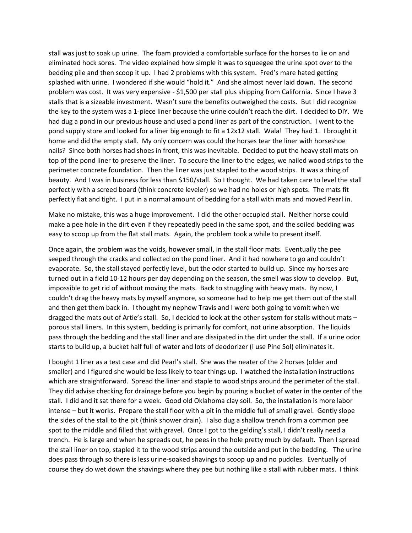stall was just to soak up urine. The foam provided a comfortable surface for the horses to lie on and eliminated hock sores. The video explained how simple it was to squeegee the urine spot over to the bedding pile and then scoop it up. I had 2 problems with this system. Fred's mare hated getting splashed with urine. I wondered if she would "hold it." And she almost never laid down. The second problem was cost. It was very expensive - \$1,500 per stall plus shipping from California. Since I have 3 stalls that is a sizeable investment. Wasn't sure the benefits outweighed the costs. But I did recognize the key to the system was a 1-piece liner because the urine couldn't reach the dirt. I decided to DIY. We had dug a pond in our previous house and used a pond liner as part of the construction. I went to the pond supply store and looked for a liner big enough to fit a 12x12 stall. Wala! They had 1. I brought it home and did the empty stall. My only concern was could the horses tear the liner with horseshoe nails? Since both horses had shoes in front, this was inevitable. Decided to put the heavy stall mats on top of the pond liner to preserve the liner. To secure the liner to the edges, we nailed wood strips to the perimeter concrete foundation. Then the liner was just stapled to the wood strips. It was a thing of beauty. And I was in business for less than \$150/stall. So I thought. We had taken care to level the stall perfectly with a screed board (think concrete leveler) so we had no holes or high spots. The mats fit perfectly flat and tight. I put in a normal amount of bedding for a stall with mats and moved Pearl in.

Make no mistake, this was a huge improvement. I did the other occupied stall. Neither horse could make a pee hole in the dirt even if they repeatedly peed in the same spot, and the soiled bedding was easy to scoop up from the flat stall mats. Again, the problem took a while to present itself.

Once again, the problem was the voids, however small, in the stall floor mats. Eventually the pee seeped through the cracks and collected on the pond liner. And it had nowhere to go and couldn't evaporate. So, the stall stayed perfectly level, but the odor started to build up. Since my horses are turned out in a field 10-12 hours per day depending on the season, the smell was slow to develop. But, impossible to get rid of without moving the mats. Back to struggling with heavy mats. By now, I couldn't drag the heavy mats by myself anymore, so someone had to help me get them out of the stall and then get them back in. I thought my nephew Travis and I were both going to vomit when we dragged the mats out of Artie's stall. So, I decided to look at the other system for stalls without mats – porous stall liners. In this system, bedding is primarily for comfort, not urine absorption. The liquids pass through the bedding and the stall liner and are dissipated in the dirt under the stall. If a urine odor starts to build up, a bucket half full of water and lots of deodorizer (I use Pine Sol) eliminates it.

I bought 1 liner as a test case and did Pearl's stall. She was the neater of the 2 horses (older and smaller) and I figured she would be less likely to tear things up. I watched the installation instructions which are straightforward. Spread the liner and staple to wood strips around the perimeter of the stall. They did advise checking for drainage before you begin by pouring a bucket of water in the center of the stall. I did and it sat there for a week. Good old Oklahoma clay soil. So, the installation is more labor intense – but it works. Prepare the stall floor with a pit in the middle full of small gravel. Gently slope the sides of the stall to the pit (think shower drain). I also dug a shallow trench from a common pee spot to the middle and filled that with gravel. Once I got to the gelding's stall, I didn't really need a trench. He is large and when he spreads out, he pees in the hole pretty much by default. Then I spread the stall liner on top, stapled it to the wood strips around the outside and put in the bedding. The urine does pass through so there is less urine-soaked shavings to scoop up and no puddles. Eventually of course they do wet down the shavings where they pee but nothing like a stall with rubber mats. I think